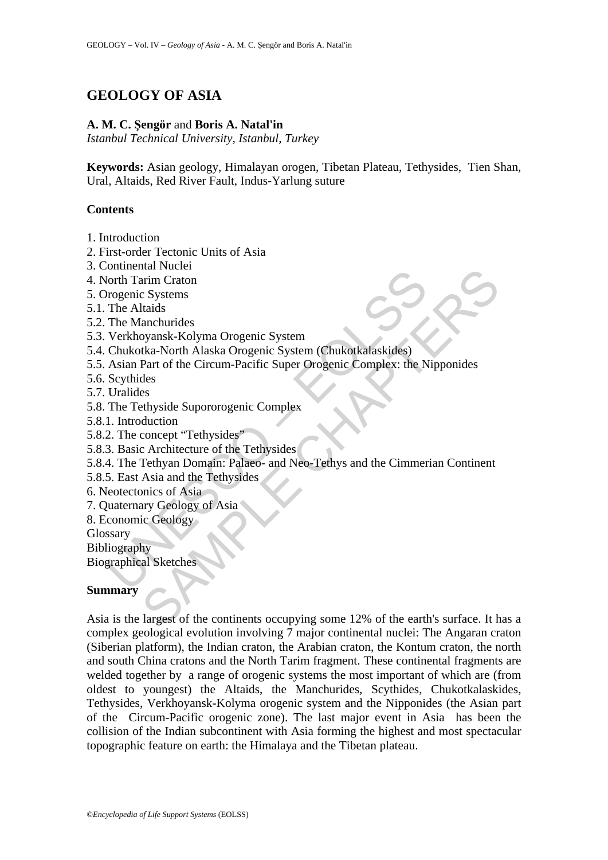# **GEOLOGY OF ASIA**

### **A. M. C. Şengör** and **Boris A. Natal'in**

*Istanbul Technical University, Istanbul, Turkey* 

**Keywords:** Asian geology, Himalayan orogen, Tibetan Plateau, Tethysides, Tien Shan, Ural, Altaids, Red River Fault, Indus-Yarlung suture

## **Contents**

- 1. Introduction
- 2. First-order Tectonic Units of Asia
- 3. Continental Nuclei
- 4. North Tarim Craton
- 5. Orogenic Systems
- 5.1. The Altaids
- 5.2. The Manchurides
- 5.3. Verkhoyansk-Kolyma Orogenic System
- 5.4. Chukotka-North Alaska Orogenic System (Chukotkalaskides)
- Solarizar Fuelda<br>
University (In the Manchurides<br>
University Transmitted Verkhoyana Crogenic System<br>
The Altaids<br>
The Manchurides<br>
Verkhoyanak-Kolyma Orogenic System<br>
Asian Part of the Circum-Pacific Super Orogenic Complex 5.5. Asian Part of the Circum-Pacific Super Orogenic Complex: the Nipponides
- 5.6. Scythides
- 5.7. Uralides
- 5.8. The Tethyside Supororogenic Complex
- 5.8.1. Introduction
- 5.8.2. The concept "Tethysides"
- 5.8.3. Basic Architecture of the Tethysides
- 5.8.4. The Tethyan Domain: Palaeo- and Neo-Tethys and the Cimmerian Continent
- 5.8.5. East Asia and the Tethysides
- 6. Neotectonics of Asia
- 7. Quaternary Geology of Asia
- 8. Economic Geology
- Glossary

Bibliography

Biographical Sketches

#### **Summary**

na ruccier<br>
arim Craton<br>
arim Craton<br>
arim Craton<br>
sum Craton<br>
vyansk-Kolyma Orogenic System<br>
(Chukotkalaskides)<br>
Part of the Circum-Pacific Super Orogenic Complex: the Nipponides<br>
des<br>
es<br>
esthyside Supororogenic Complex<br> Asia is the largest of the continents occupying some 12% of the earth's surface. It has a complex geological evolution involving 7 major continental nuclei: The Angaran craton (Siberian platform), the Indian craton, the Arabian craton, the Kontum craton, the north and south China cratons and the North Tarim fragment. These continental fragments are welded together by a range of orogenic systems the most important of which are (from oldest to youngest) the Altaids, the Manchurides, Scythides, Chukotkalaskides, Tethysides, Verkhoyansk-Kolyma orogenic system and the Nipponides (the Asian part of the Circum-Pacific orogenic zone). The last major event in Asia has been the collision of the Indian subcontinent with Asia forming the highest and most spectacular topographic feature on earth: the Himalaya and the Tibetan plateau.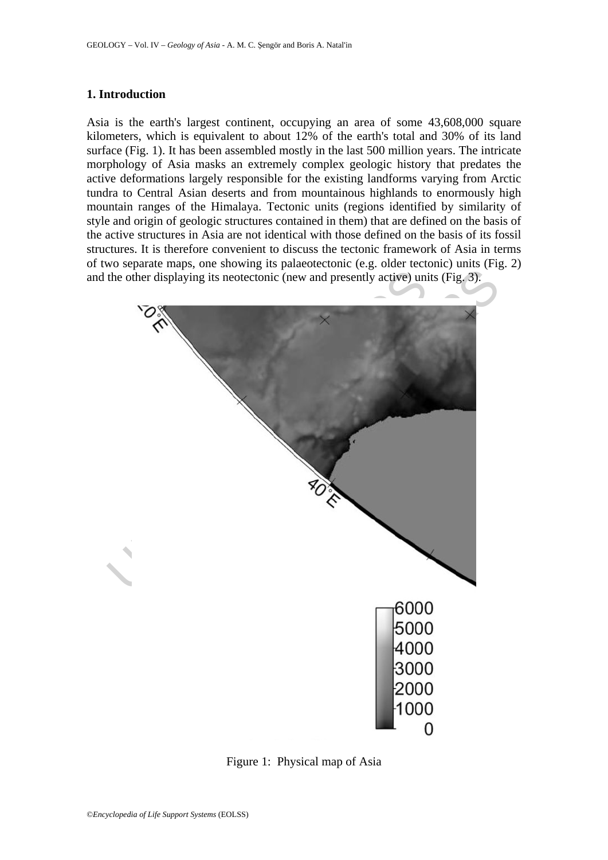# **1. Introduction**

Asia is the earth's largest continent, occupying an area of some 43,608,000 square kilometers, which is equivalent to about 12% of the earth's total and 30% of its land surface (Fig. 1). It has been assembled mostly in the last 500 million years. The intricate morphology of Asia masks an extremely complex geologic history that predates the active deformations largely responsible for the existing landforms varying from Arctic tundra to Central Asian deserts and from mountainous highlands to enormously high mountain ranges of the Himalaya. Tectonic units (regions identified by similarity of style and origin of geologic structures contained in them) that are defined on the basis of the active structures in Asia are not identical with those defined on the basis of its fossil structures. It is therefore convenient to discuss the tectonic framework of Asia in terms of two separate maps, one showing its palaeotectonic (e.g. older tectonic) units (Fig. 2) and the other displaying its neotectonic (new and presently active) units (Fig. 3).



Figure 1: Physical map of Asia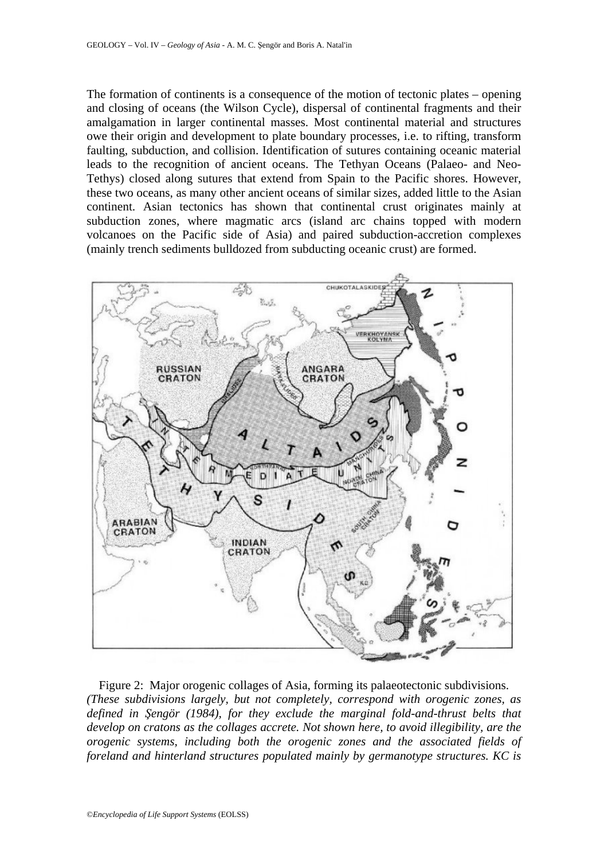The formation of continents is a consequence of the motion of tectonic plates – opening and closing of oceans (the Wilson Cycle), dispersal of continental fragments and their amalgamation in larger continental masses. Most continental material and structures owe their origin and development to plate boundary processes, i.e. to rifting, transform faulting, subduction, and collision. Identification of sutures containing oceanic material leads to the recognition of ancient oceans. The Tethyan Oceans (Palaeo- and Neo-Tethys) closed along sutures that extend from Spain to the Pacific shores. However, these two oceans, as many other ancient oceans of similar sizes, added little to the Asian continent. Asian tectonics has shown that continental crust originates mainly at subduction zones, where magmatic arcs (island arc chains topped with modern volcanoes on the Pacific side of Asia) and paired subduction-accretion complexes (mainly trench sediments bulldozed from subducting oceanic crust) are formed.



Figure 2: Major orogenic collages of Asia, forming its palaeotectonic subdivisions. *(These subdivisions largely, but not completely, correspond with orogenic zones, as defined in Şengör (1984), for they exclude the marginal fold-and-thrust belts that develop on cratons as the collages accrete. Not shown here, to avoid illegibility, are the orogenic systems, including both the orogenic zones and the associated fields of foreland and hinterland structures populated mainly by germanotype structures. KC is*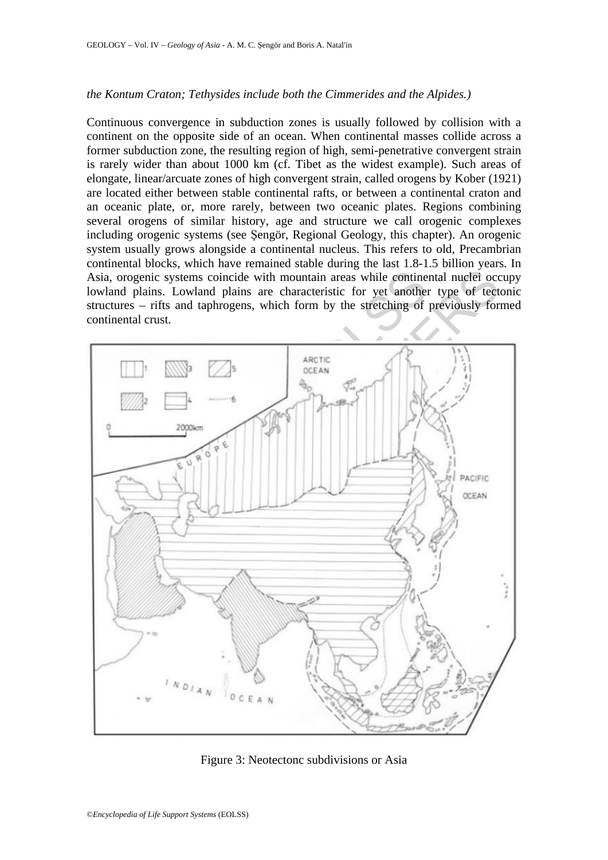## *the Kontum Craton; Tethysides include both the Cimmerides and the Alpides.)*

Continuous convergence in subduction zones is usually followed by collision with a continent on the opposite side of an ocean. When continental masses collide across a former subduction zone, the resulting region of high, semi-penetrative convergent strain is rarely wider than about 1000 km (cf. Tibet as the widest example). Such areas of elongate, linear/arcuate zones of high convergent strain, called orogens by Kober (1921) are located either between stable continental rafts, or between a continental craton and an oceanic plate, or, more rarely, between two oceanic plates. Regions combining several orogens of similar history, age and structure we call orogenic complexes including orogenic systems (see Şengör, Regional Geology, this chapter). An orogenic system usually grows alongside a continental nucleus. This refers to old, Precambrian continental blocks, which have remained stable during the last 1.8-1.5 billion years. In Asia, orogenic systems coincide with mountain areas while continental nuclei occupy lowland plains. Lowland plains are characteristic for yet another type of tectonic structures – rifts and taphrogens, which form by the stretching of previously formed continental crust.



Figure 3: Neotectonc subdivisions or Asia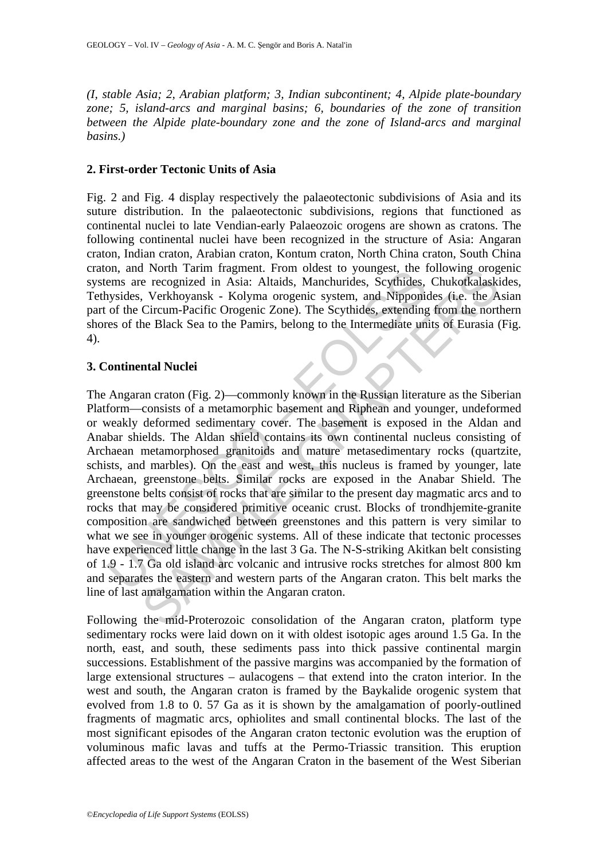*(I, stable Asia; 2, Arabian platform; 3, Indian subcontinent; 4, Alpide plate-boundary zone; 5, island-arcs and marginal basins; 6, boundaries of the zone of transition between the Alpide plate-boundary zone and the zone of Island-arcs and marginal basins.)* 

# **2. First-order Tectonic Units of Asia**

Fig. 2 and Fig. 4 display respectively the palaeotectonic subdivisions of Asia and its suture distribution. In the palaeotectonic subdivisions, regions that functioned as continental nuclei to late Vendian-early Palaeozoic orogens are shown as cratons. The following continental nuclei have been recognized in the structure of Asia: Angaran craton, Indian craton, Arabian craton, Kontum craton, North China craton, South China craton, and North Tarim fragment. From oldest to youngest, the following orogenic systems are recognized in Asia: Altaids, Manchurides, Scythides, Chukotkalaskides, Tethysides, Verkhoyansk - Kolyma orogenic system, and Nipponides (i.e. the Asian part of the Circum-Pacific Orogenic Zone). The Scythides, extending from the northern shores of the Black Sea to the Pamirs, belong to the Intermediate units of Eurasia (Fig. 4).

# **3. Continental Nuclei**

on, and Nordin Internal inspired. From othesis to youngest, the 1<br>ems are recognized in Asia: Altaids, Manchurides, Scythides, Systems,<br>sysides, Verkhoyansk - Kolyma orogenic system, and Nipponia<br>of the Circum-Pacific Orog I Norm Taramm traguent. From oteast to youngest, the following orog<br>
e recognized in Asia: Altaids, Manchurides, Scythides. Chukotkalaski<br>
, Verkhoyansk - Kolyma orogenic system, and Nipponides (i.e. the A<br>
Grecum-Pacific The Angaran craton (Fig. 2)—commonly known in the Russian literature as the Siberian Platform—consists of a metamorphic basement and Riphean and younger, undeformed or weakly deformed sedimentary cover. The basement is exposed in the Aldan and Anabar shields. The Aldan shield contains its own continental nucleus consisting of Archaean metamorphosed granitoids and mature metasedimentary rocks (quartzite, schists, and marbles). On the east and west, this nucleus is framed by younger, late Archaean, greenstone belts. Similar rocks are exposed in the Anabar Shield. The greenstone belts consist of rocks that are similar to the present day magmatic arcs and to rocks that may be considered primitive oceanic crust. Blocks of trondhjemite-granite composition are sandwiched between greenstones and this pattern is very similar to what we see in younger orogenic systems. All of these indicate that tectonic processes have experienced little change in the last 3 Ga. The N-S-striking Akitkan belt consisting of 1.9 - 1.7 Ga old island arc volcanic and intrusive rocks stretches for almost 800 km and separates the eastern and western parts of the Angaran craton. This belt marks the line of last amalgamation within the Angaran craton.

Following the mid-Proterozoic consolidation of the Angaran craton, platform type sedimentary rocks were laid down on it with oldest isotopic ages around 1.5 Ga. In the north, east, and south, these sediments pass into thick passive continental margin successions. Establishment of the passive margins was accompanied by the formation of large extensional structures – aulacogens – that extend into the craton interior. In the west and south, the Angaran craton is framed by the Baykalide orogenic system that evolved from 1.8 to 0. 57 Ga as it is shown by the amalgamation of poorly-outlined fragments of magmatic arcs, ophiolites and small continental blocks. The last of the most significant episodes of the Angaran craton tectonic evolution was the eruption of voluminous mafic lavas and tuffs at the Permo-Triassic transition. This eruption affected areas to the west of the Angaran Craton in the basement of the West Siberian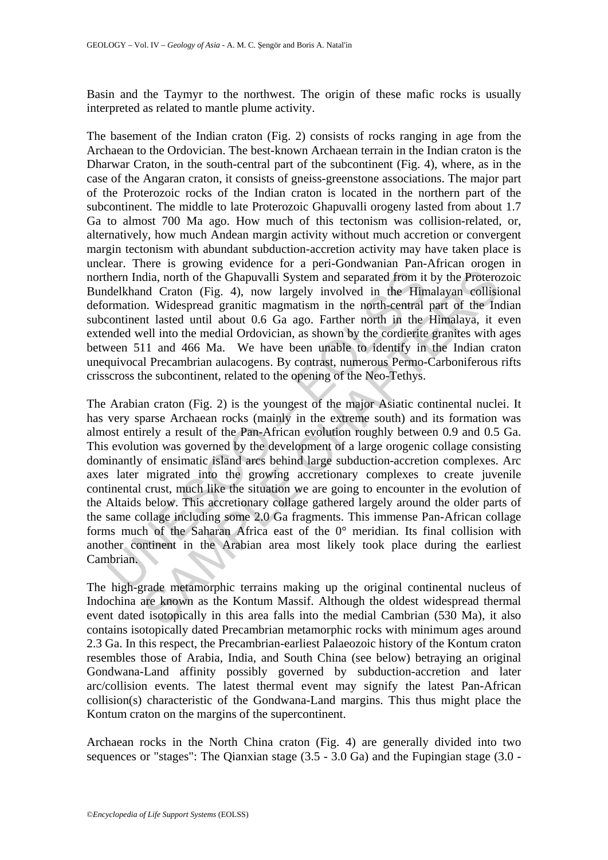Basin and the Taymyr to the northwest. The origin of these mafic rocks is usually interpreted as related to mantle plume activity.

The basement of the Indian craton (Fig. 2) consists of rocks ranging in age from the Archaean to the Ordovician. The best-known Archaean terrain in the Indian craton is the Dharwar Craton, in the south-central part of the subcontinent (Fig. 4), where, as in the case of the Angaran craton, it consists of gneiss-greenstone associations. The major part of the Proterozoic rocks of the Indian craton is located in the northern part of the subcontinent. The middle to late Proterozoic Ghapuvalli orogeny lasted from about 1.7 Ga to almost 700 Ma ago. How much of this tectonism was collision-related, or, alternatively, how much Andean margin activity without much accretion or convergent margin tectonism with abundant subduction-accretion activity may have taken place is unclear. There is growing evidence for a peri-Gondwanian Pan-African orogen in northern India, north of the Ghapuvalli System and separated from it by the Proterozoic Bundelkhand Craton (Fig. 4), now largely involved in the Himalayan collisional deformation. Widespread granitic magmatism in the north-central part of the Indian subcontinent lasted until about 0.6 Ga ago. Farther north in the Himalaya, it even extended well into the medial Ordovician, as shown by the cordierite granites with ages between 511 and 466 Ma. We have been unable to identify in the Indian craton unequivocal Precambrian aulacogens. By contrast, numerous Permo-Carboniferous rifts crisscross the subcontinent, related to the opening of the Neo-Tethys.

hern India, north of the Ghapuvalli System and separated from it delkhand Craton (Fig. 4), now largely involved in the Him transmism. Widespread granitic magmatism in the north-central continent lasted until about 0.6 Ga dia, north of the Ghapuvalli System and separated from it by the Proterond Craton (Fig. 4), now largely involved in the Himalayan collision. Widespread granitic magnatism in the north-central part of the Infinialy. In the The Arabian craton (Fig. 2) is the youngest of the major Asiatic continental nuclei. It has very sparse Archaean rocks (mainly in the extreme south) and its formation was almost entirely a result of the Pan-African evolution roughly between 0.9 and 0.5 Ga. This evolution was governed by the development of a large orogenic collage consisting dominantly of ensimatic island arcs behind large subduction-accretion complexes. Arc axes later migrated into the growing accretionary complexes to create juvenile continental crust, much like the situation we are going to encounter in the evolution of the Altaids below. This accretionary collage gathered largely around the older parts of the same collage including some 2.0 Ga fragments. This immense Pan-African collage forms much of the Saharan Africa east of the 0° meridian. Its final collision with another continent in the Arabian area most likely took place during the earliest Cambrian.

The high-grade metamorphic terrains making up the original continental nucleus of Indochina are known as the Kontum Massif. Although the oldest widespread thermal event dated isotopically in this area falls into the medial Cambrian (530 Ma), it also contains isotopically dated Precambrian metamorphic rocks with minimum ages around 2.3 Ga. In this respect, the Precambrian-earliest Palaeozoic history of the Kontum craton resembles those of Arabia, India, and South China (see below) betraying an original Gondwana-Land affinity possibly governed by subduction-accretion and later arc/collision events. The latest thermal event may signify the latest Pan-African collision(s) characteristic of the Gondwana-Land margins. This thus might place the Kontum craton on the margins of the supercontinent.

Archaean rocks in the North China craton (Fig. 4) are generally divided into two sequences or "stages": The Qianxian stage  $(3.5 - 3.0 \text{ Ga})$  and the Fupingian stage  $(3.0 -$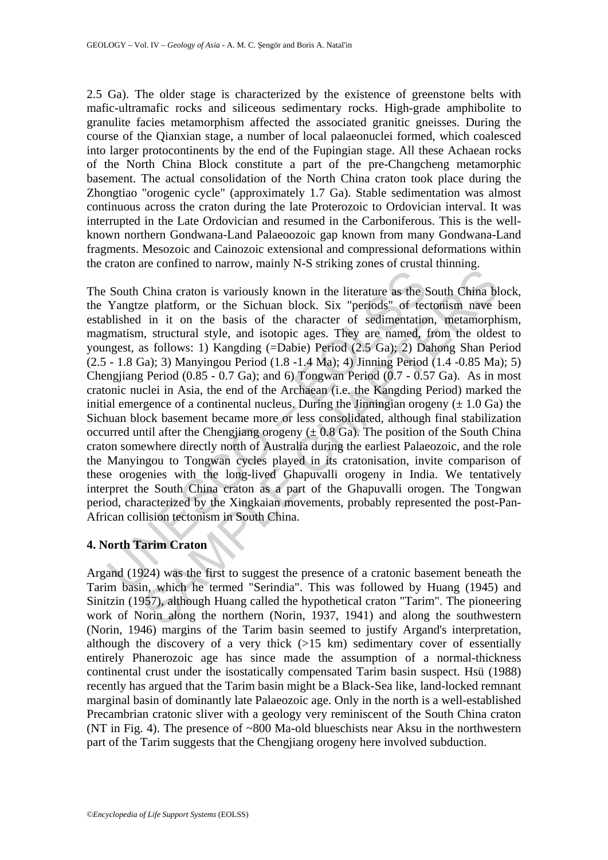2.5 Ga). The older stage is characterized by the existence of greenstone belts with mafic-ultramafic rocks and siliceous sedimentary rocks. High-grade amphibolite to granulite facies metamorphism affected the associated granitic gneisses. During the course of the Qianxian stage, a number of local palaeonuclei formed, which coalesced into larger protocontinents by the end of the Fupingian stage. All these Achaean rocks of the North China Block constitute a part of the pre-Changcheng metamorphic basement. The actual consolidation of the North China craton took place during the Zhongtiao "orogenic cycle" (approximately 1.7 Ga). Stable sedimentation was almost continuous across the craton during the late Proterozoic to Ordovician interval. It was interrupted in the Late Ordovician and resumed in the Carboniferous. This is the wellknown northern Gondwana-Land Palaeoozoic gap known from many Gondwana-Land fragments. Mesozoic and Cainozoic extensional and compressional deformations within the craton are confined to narrow, mainly N-S striking zones of crustal thinning.

South China craton is variously known in the literature as the Yangtze platform, or the Sichuan block. Six "periods" of tec blished in it on the basis of the character of sedimentatio measure, this mean turn and style, an China craton is variously known in the literature as the South China between platform, or the Sichuan block. Six "periods" of tectonism nave is in it on the basis of the character of sedimentation, metamorph, structural s The South China craton is variously known in the literature as the South China block, the Yangtze platform, or the Sichuan block. Six "periods" of tectonism nave been established in it on the basis of the character of sedimentation, metamorphism, magmatism, structural style, and isotopic ages. They are named, from the oldest to youngest, as follows: 1) Kangding (=Dabie) Period (2.5 Ga); 2) Dahong Shan Period (2.5 - 1.8 Ga); 3) Manyingou Period (1.8 -1.4 Ma); 4) Jinning Period (1.4 -0.85 Ma); 5) Chengjiang Period (0.85 - 0.7 Ga); and 6) Tongwan Period (0.7 - 0.57 Ga). As in most cratonic nuclei in Asia, the end of the Archaean (i.e. the Kangding Period) marked the initial emergence of a continental nucleus. During the Jinningian orogeny  $(\pm 1.0 \text{ Ga})$  the Sichuan block basement became more or less consolidated, although final stabilization occurred until after the Chengjiang orogeny  $(\pm 0.8 \text{ Ga})$ . The position of the South China craton somewhere directly north of Australia during the earliest Palaeozoic, and the role the Manyingou to Tongwan cycles played in its cratonisation, invite comparison of these orogenies with the long-lived Ghapuvalli orogeny in India. We tentatively interpret the South China craton as a part of the Ghapuvalli orogen. The Tongwan period, characterized by the Xingkaian movements, probably represented the post-Pan-African collision tectonism in South China.

# **4. North Tarim Craton**

Argand (1924) was the first to suggest the presence of a cratonic basement beneath the Tarim basin, which he termed "Serindia". This was followed by Huang (1945) and Sinitzin (1957), although Huang called the hypothetical craton "Tarim". The pioneering work of Norin along the northern (Norin, 1937, 1941) and along the southwestern (Norin, 1946) margins of the Tarim basin seemed to justify Argand's interpretation, although the discovery of a very thick  $(>15 \text{ km})$  sedimentary cover of essentially entirely Phanerozoic age has since made the assumption of a normal-thickness continental crust under the isostatically compensated Tarim basin suspect. Hsü (1988) recently has argued that the Tarim basin might be a Black-Sea like, land-locked remnant marginal basin of dominantly late Palaeozoic age. Only in the north is a well-established Precambrian cratonic sliver with a geology very reminiscent of the South China craton (NT in Fig. 4). The presence of ~800 Ma-old blueschists near Aksu in the northwestern part of the Tarim suggests that the Chengjiang orogeny here involved subduction.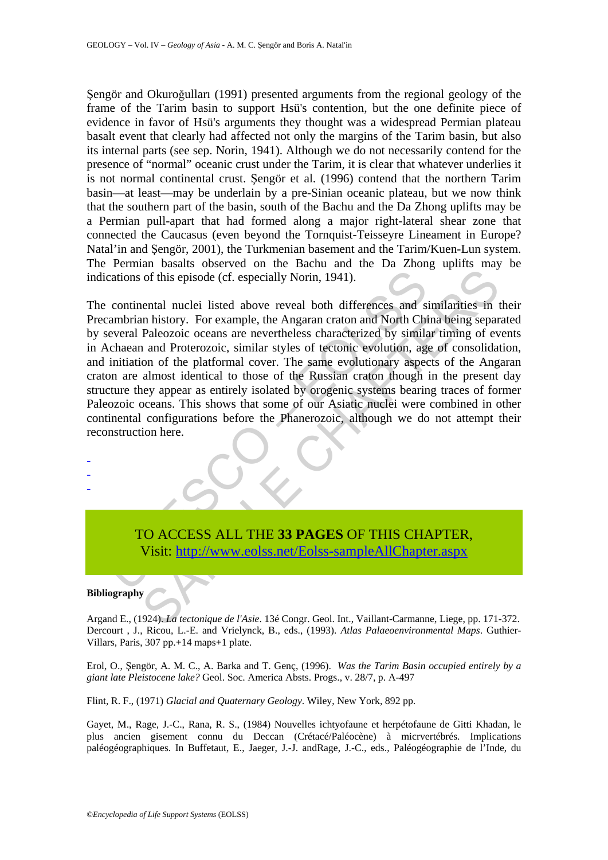Şengör and Okuroğulları (1991) presented arguments from the regional geology of the frame of the Tarim basin to support Hsü's contention, but the one definite piece of evidence in favor of Hsü's arguments they thought was a widespread Permian plateau basalt event that clearly had affected not only the margins of the Tarim basin, but also its internal parts (see sep. Norin, 1941). Although we do not necessarily contend for the presence of "normal" oceanic crust under the Tarim, it is clear that whatever underlies it is not normal continental crust. Şengör et al. (1996) contend that the northern Tarim basin—at least—may be underlain by a pre-Sinian oceanic plateau, but we now think that the southern part of the basin, south of the Bachu and the Da Zhong uplifts may be a Permian pull-apart that had formed along a major right-lateral shear zone that connected the Caucasus (even beyond the Tornquist-Teisseyre Lineament in Europe? Natal'in and Şengör, 2001), the Turkmenian basement and the Tarim/Kuen-Lun system. The Permian basalts observed on the Bachu and the Da Zhong uplifts may be indications of this episode (cf. especially Norin, 1941).

cations of this episode (cf. especially Norin, 1941).<br>
continental nuclei listed above reveal both differences and s<br>
cannotinn history. For example, the Angaran craton and North Chi<br>
cerveral Paleozoic oceans are neverthe of this episode (cf. especially Norin, 1941).<br>
Shortand nuclei listed above reveal both differences and similarities in the intervalse process are nevertheless characterized by similar timing of evaluations are nevertheles The continental nuclei listed above reveal both differences and similarities in their Precambrian history. For example, the Angaran craton and North China being separated by several Paleozoic oceans are nevertheless characterized by similar timing of events in Achaean and Proterozoic, similar styles of tectonic evolution, age of consolidation, and initiation of the platformal cover. The same evolutionary aspects of the Angaran craton are almost identical to those of the Russian craton though in the present day structure they appear as entirely isolated by orogenic systems bearing traces of former Paleozoic oceans. This shows that some of our Asiatic nuclei were combined in other continental configurations before the Phanerozoic, although we do not attempt their reconstruction here.

# TO ACCESS ALL THE **33 PAGES** OF THIS CHAPTER, Visit: http://www.eolss.net/Eolss-sampleAllChapter.aspx

#### **Bibliography**

- - -

Argand E., (1924). *La tectonique de l'Asie*. 13é Congr. Geol. Int., Vaillant-Carmanne, Liege, pp. 171-372. Dercourt , J., Ricou, L.-E. and Vrielynck, B., eds., (1993). *Atlas Palaeoenvironmental Maps*. Guthier-Villars, Paris, 307 pp.+14 maps+1 plate.

Erol, O., Şengör, A. M. C., A. Barka and T. Genç, (1996). *Was the Tarim Basin occupied entirely by a giant late Pleistocene lake?* Geol. Soc. America Absts. Progs., v. 28/7, p. A-497

Flint, R. F., (1971) *Glacial and Quaternary Geology*. Wiley, New York, 892 pp.

Gayet, M., Rage, J.-C., Rana, R. S., (1984) Nouvelles ichtyofaune et herpétofaune de Gitti Khadan, le plus ancien gisement connu du Deccan (Crétacé/Paléocène) à micrvertébrés. Implications paléogéographiques. In Buffetaut, E., Jaeger, J.-J. andRage, J.-C., eds., Paléogéographie de l'Inde, du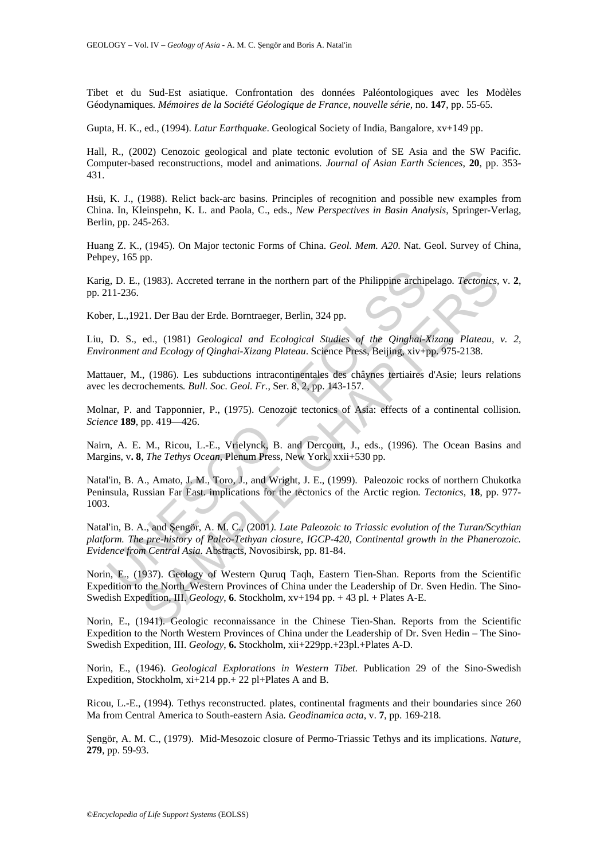Tibet et du Sud-Est asiatique. Confrontation des données Paléontologiques avec les Modèles Géodynamiques*. Mémoires de la Société Géologique de France, nouvelle série,* no. **147**, pp. 55-65.

Gupta, H. K., ed., (1994). *Latur Earthquake*. Geological Society of India, Bangalore, xv+149 pp.

Hall, R., (2002) Cenozoic geological and plate tectonic evolution of SE Asia and the SW Pacific. Computer-based reconstructions, model and animations*. Journal of Asian Earth Sciences*, **20**, pp. 353- 431.

Hsü, K. J., (1988). Relict back-arc basins. Principles of recognition and possible new examples from China. In, Kleinspehn, K. L. and Paola, C., eds., *New Perspectives in Basin Analysis*, Springer-Verlag, Berlin, pp. 245-263.

Huang Z. K., (1945). On Major tectonic Forms of China. *Geol. Mem. A20*. Nat. Geol. Survey of China, Pehpey, 165 pp.

Karig, D. E., (1983). Accreted terrane in the northern part of the Philippine archipelago*. Tectonics,* v. **2**, pp. 211-236.

Kober, L.,1921. Der Bau der Erde. Borntraeger, Berlin, 324 pp.

Liu, D. S., ed., (1981) *Geological and Ecological Studies of the Qinghai-Xizang Plateau, v. 2, Environment and Ecology of Qinghai-Xizang Plateau*. Science Press, Beijing, xiv+pp. 975-2138.

Mattauer, M., (1986). Les subductions intracontinentales des châynes tertiaires d'Asie; leurs relations avec les decrochements*. Bull. Soc. Geol. Fr.*, Ser. 8, 2, pp. 143-157.

Molnar, P. and Tapponnier, P., (1975). Cenozoic tectonics of Asia: effects of a continental collision*. Science* **189**, pp. 419—426.

Nairn, A. E. M., Ricou, L.-E., Vrielynck, B. and Dercourt, J., eds., (1996). The Ocean Basins and Margins, v**. 8***, The Tethys Ocean*, Plenum Press, New York, xxii+530 pp.

Natal'in, B. A., Amato, J. M., Toro, J., and Wright, J. E., (1999). Paleozoic rocks of northern Chukotka Peninsula, Russian Far East. implications for the tectonics of the Arctic region*. Tectonics*, **18**, pp. 977- 1003.

g, D. E., (1983). Accreted terrane in the northern part of the Philippine archip 11-236.<br>
11-236.<br>
er, L., 1921. Der Bau der Erde. Borntraeger, Berlin, 324 pp.<br>
D. S., ed., (1981) *Geological and Ecological Studies of the* (1983). Accreted terrane in the northern part of the Philippine archipelago. Tectonics,<br>
21. Der Bau der Erde. Borntraeger, Berlin, 324 pp.<br>
ed., (1981) *Geological and Ecological Studies of the Oinghai-Xizang Plateau,*<br> Natal'in, B. A., and Şengör, A. M. C., (2001*). Late Paleozoic to Triassic evolution of the Turan/Scythian platform. The pre-history of Paleo-Tethyan closure, IGCP-420, Continental growth in the Phanerozoic. Evidence from Central Asia.* Abstracts, Novosibirsk, pp. 81-84.

Norin, E., (1937). Geology of Western Quruq Taqh, Eastern Tien-Shan. Reports from the Scientific Expedition to the North\_Western Provinces of China under the Leadership of Dr. Sven Hedin. The Sino-Swedish Expedition, III. *Geology*, **6**. Stockholm, xv+194 pp. + 43 pl. + Plates A-E.

Norin, E., (1941). Geologic reconnaissance in the Chinese Tien-Shan. Reports from the Scientific Expedition to the North Western Provinces of China under the Leadership of Dr. Sven Hedin – The Sino-Swedish Expedition, III. *Geology*, **6.** Stockholm, xii+229pp.+23pl.+Plates A-D.

Norin, E., (1946). *Geological Explorations in Western Tibet.* Publication 29 of the Sino-Swedish Expedition, Stockholm, xi+214 pp. + 22 pl + Plates A and B.

Ricou, L.-E., (1994). Tethys reconstructed. plates, continental fragments and their boundaries since 260 Ma from Central America to South-eastern Asia*. Geodinamica acta*, v. **7**, pp. 169-218.

Şengör, A. M. C., (1979). Mid-Mesozoic closure of Permo-Triassic Tethys and its implications*. Nature,* **279**, pp. 59-93.